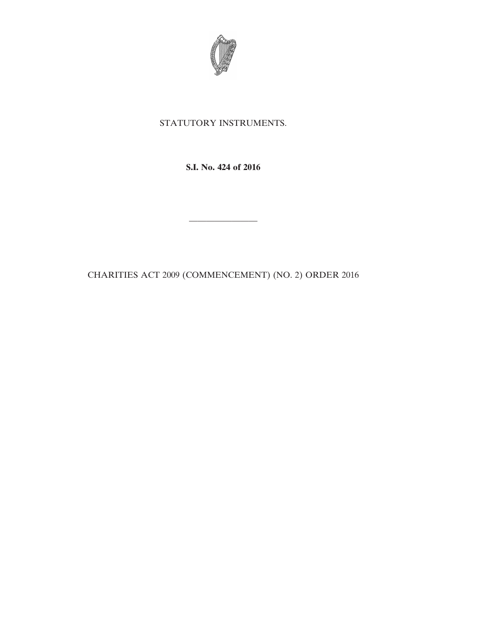

## STATUTORY INSTRUMENTS.

**S.I. No. 424 of 2016**

————————

CHARITIES ACT 2009 (COMMENCEMENT) (NO. 2) ORDER 2016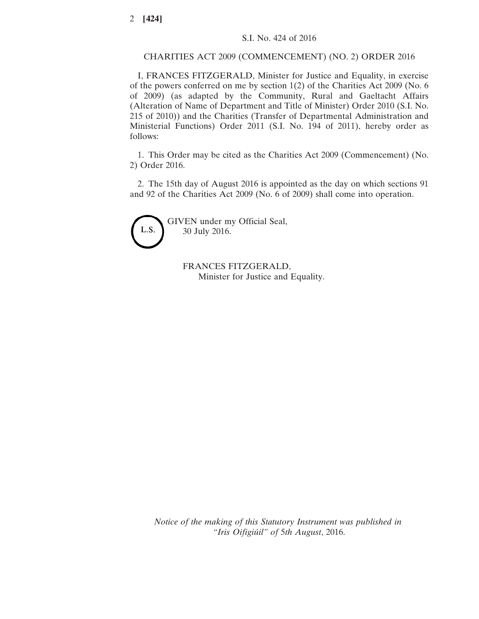## CHARITIES ACT 2009 (COMMENCEMENT) (NO. 2) ORDER 2016

I, FRANCES FITZGERALD, Minister for Justice and Equality, in exercise of the powers conferred on me by section 1(2) of the Charities Act 2009 (No. 6 of 2009) (as adapted by the Community, Rural and Gaeltacht Affairs (Alteration of Name of Department and Title of Minister) Order 2010 (S.I. No. 215 of 2010)) and the Charities (Transfer of Departmental Administration and Ministerial Functions) Order 2011 (S.I. No. 194 of 2011), hereby order as follows:

1. This Order may be cited as the Charities Act 2009 (Commencement) (No. 2) Order 2016.

2. The 15th day of August 2016 is appointed as the day on which sections 91 and 92 of the Charities Act 2009 (No. 6 of 2009) shall come into operation.



GIVEN under my Official Seal, 30 July 2016.

> FRANCES FITZGERALD, Minister for Justice and Equality.

*Notice of the making of this Statutory Instrument was published in "Iris Oifigiúil" of* 5*th August*, 2016.